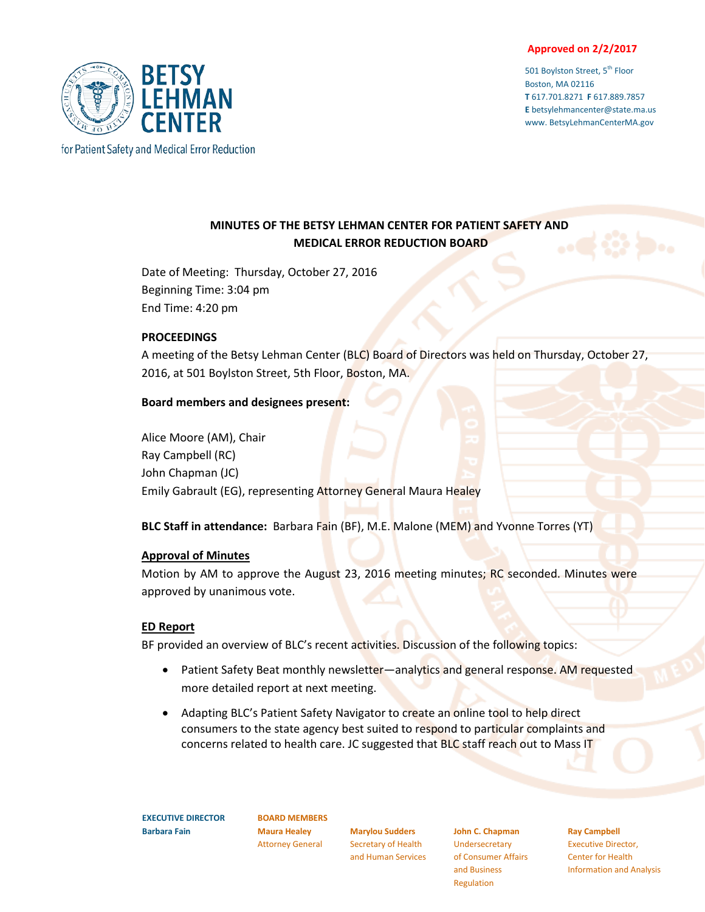#### **Approved on 2/2/2017**

501 Boylston Street, 5<sup>th</sup> Floor Boston, MA 02116 **T** 617.701.8271 **F** 617.889.7857 **E** betsylehmancenter@state.ma.us www. BetsyLehmanCenterMA.gov



# **MINUTES OF THE BETSY LEHMAN CENTER FOR PATIENT SAFETY AND MEDICAL ERROR REDUCTION BOARD**

Date of Meeting: Thursday, October 27, 2016 Beginning Time: 3:04 pm End Time: 4:20 pm

#### **PROCEEDINGS**

A meeting of the Betsy Lehman Center (BLC) Board of Directors was held on Thursday, October 27, 2016, at 501 Boylston Street, 5th Floor, Boston, MA.

### **Board members and designees present:**

Alice Moore (AM), Chair Ray Campbell (RC) John Chapman (JC) Emily Gabrault (EG), representing Attorney General Maura Healey

**BLC Staff in attendance:** Barbara Fain (BF), M.E. Malone (MEM) and Yvonne Torres (YT)

#### **Approval of Minutes**

Motion by AM to approve the August 23, 2016 meeting minutes; RC seconded. Minutes were approved by unanimous vote.

### **ED Report**

BF provided an overview of BLC's recent activities. Discussion of the following topics:

- Patient Safety Beat monthly newsletter—analytics and general response. AM requested more detailed report at next meeting.
- Adapting BLC's Patient Safety Navigator to create an online tool to help direct consumers to the state agency best suited to respond to particular complaints and concerns related to health care. JC suggested that BLC staff reach out to Mass IT

**EXECUTIVE DIRECTOR Barbara Fain**

**BOARD MEMBERS Maura Healey** Attorney General

**Marylou Sudders** Secretary of Health and Human Services

**John C. Chapman Undersecretary** of Consumer Affairs and Business Regulation

**Ray Campbell**

Executive Director, Center for Health Information and Analysis